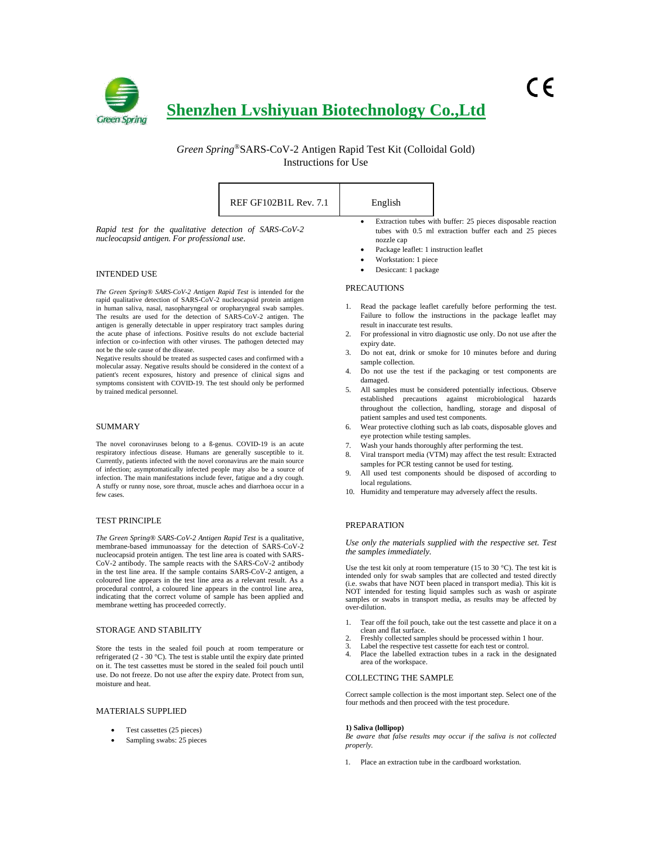

*Green Spring*®SARS-CoV-2 Antigen Rapid Test Kit (Colloidal Gold) Instructions for Use

|                                                                                                                                                                                                                                                                                                                                                                                                                                                                                                                                                                                                                                                                                                                                                                                                                                                                                        | REF GF102B1L Rev. 7.1 | English                                                                                                                |                                                                                                                                                                                                                                                                                                                                         |
|----------------------------------------------------------------------------------------------------------------------------------------------------------------------------------------------------------------------------------------------------------------------------------------------------------------------------------------------------------------------------------------------------------------------------------------------------------------------------------------------------------------------------------------------------------------------------------------------------------------------------------------------------------------------------------------------------------------------------------------------------------------------------------------------------------------------------------------------------------------------------------------|-----------------------|------------------------------------------------------------------------------------------------------------------------|-----------------------------------------------------------------------------------------------------------------------------------------------------------------------------------------------------------------------------------------------------------------------------------------------------------------------------------------|
| Rapid test for the qualitative detection of SARS-CoV-2<br>nucleocapsid antigen. For professional use.                                                                                                                                                                                                                                                                                                                                                                                                                                                                                                                                                                                                                                                                                                                                                                                  |                       | ٠<br>nozzle cap<br>Package leaflet: 1 instruction leaflet<br>Workstation: 1 piece<br>٠                                 | Extraction tubes with buffer: 25 pieces disposable reaction<br>tubes with 0.5 ml extraction buffer each and 25 pieces                                                                                                                                                                                                                   |
| <b>INTENDED USE</b>                                                                                                                                                                                                                                                                                                                                                                                                                                                                                                                                                                                                                                                                                                                                                                                                                                                                    |                       | Desiccant: 1 package                                                                                                   |                                                                                                                                                                                                                                                                                                                                         |
| The Green Spring® SARS-CoV-2 Antigen Rapid Test is intended for the<br>rapid qualitative detection of SARS-CoV-2 nucleocapsid protein antigen<br>in human saliva, nasal, nasopharyngeal or oropharyngeal swab samples.<br>The results are used for the detection of SARS-CoV-2 antigen. The<br>antigen is generally detectable in upper respiratory tract samples during<br>the acute phase of infections. Positive results do not exclude bacterial<br>infection or co-infection with other viruses. The pathogen detected may<br>not be the sole cause of the disease.<br>Negative results should be treated as suspected cases and confirmed with a<br>molecular assay. Negative results should be considered in the context of a<br>patient's recent exposures, history and presence of clinical signs and<br>symptoms consistent with COVID-19. The test should only be performed |                       | <b>PRECAUTIONS</b><br>result in inaccurate test results.<br>2.<br>expiry date.<br>sample collection.<br>4.<br>damaged. | 1. Read the package leaflet carefully before performing the test.<br>Failure to follow the instructions in the package leaflet may<br>For professional in vitro diagnostic use only. Do not use after the<br>Do not eat, drink or smoke for 10 minutes before and during<br>Do not use the test if the packaging or test components are |
| by trained medical personnel.                                                                                                                                                                                                                                                                                                                                                                                                                                                                                                                                                                                                                                                                                                                                                                                                                                                          |                       | 5.                                                                                                                     | All samples must be considered potentially infectious. Observe                                                                                                                                                                                                                                                                          |

## SUMMARY

The novel coronaviruses belong to a ß-genus. COVID-19 is an acute respiratory infectious disease. Humans are generally susceptible to it. Currently, patients infected with the novel coronavirus are the main source of infection; asymptomatically infected people may also be a source of infection. The main manifestations include fever, fatigue and a dry cough. A stuffy or runny nose, sore throat, muscle aches and diarrhoea occur in a few cases.

#### TEST PRINCIPLE

*The Green Spring® SARS-CoV-2 Antigen Rapid Test* is a qualitative, membrane-based immunoassay for the detection of SARS-CoV-2 nucleocapsid protein antigen. The test line area is coated with SARS-CoV-2 antibody. The sample reacts with the SARS-CoV-2 antibody in the test line area. If the sample contains SARS-CoV-2 antigen, a coloured line appears in the test line area as a relevant result. As a procedural control, a coloured line appears in the control line area, indicating that the correct volume of sample has been applied and membrane wetting has proceeded correctly.

### STORAGE AND STABILITY

Store the tests in the sealed foil pouch at room temperature or refrigerated (2 - 30 °C). The test is stable until the expiry date printed on it. The test cassettes must be stored in the sealed foil pouch until use. Do not freeze. Do not use after the expiry date. Protect from sun, moisture and heat.

## MATERIALS SUPPLIED

- Test cassettes (25 pieces)
- Sampling swabs: 25 pieces
- 5. All samples must be considered potentially infectious. Observe established precautions against microbiological hazards throughout the collection, handling, storage and disposal of patient samples and used test components.
- 6. Wear protective clothing such as lab coats, disposable gloves and eye protection while testing samples.
- 7. Wash your hands thoroughly after performing the test.
- 8. Viral transport media (VTM) may affect the test result: Extracted samples for PCR testing cannot be used for testing.
- 9. All used test components should be disposed of according to local regulations.
- 10. Humidity and temperature may adversely affect the results.

## PREPARATION

*Use only the materials supplied with the respective set. Test the samples immediately.*

Use the test kit only at room temperature (15 to 30 °C). The test kit is intended only for swab samples that are collected and tested directly (i.e. swabs that have NOT been placed in transport media). This kit is NOT intended for testing liquid samples such as wash or aspirate samples or swabs in transport media, as results may be affected by over-dilution.

- 1. Tear off the foil pouch, take out the test cassette and place it on a clean and flat surface.
- 2. Freshly collected samples should be processed within 1 hour.
- 3. Label the respective test cassette for each test or control. 4. Place the labelled extraction tubes in a rack in the designated
- area of the workspace.

## COLLECTING THE SAMPLE

Correct sample collection is the most important step. Select one of the four methods and then proceed with the test procedure.

#### **1) Saliva (lollipop)**

*Be aware that false results may occur if the saliva is not collected properly.*

1. Place an extraction tube in the cardboard workstation.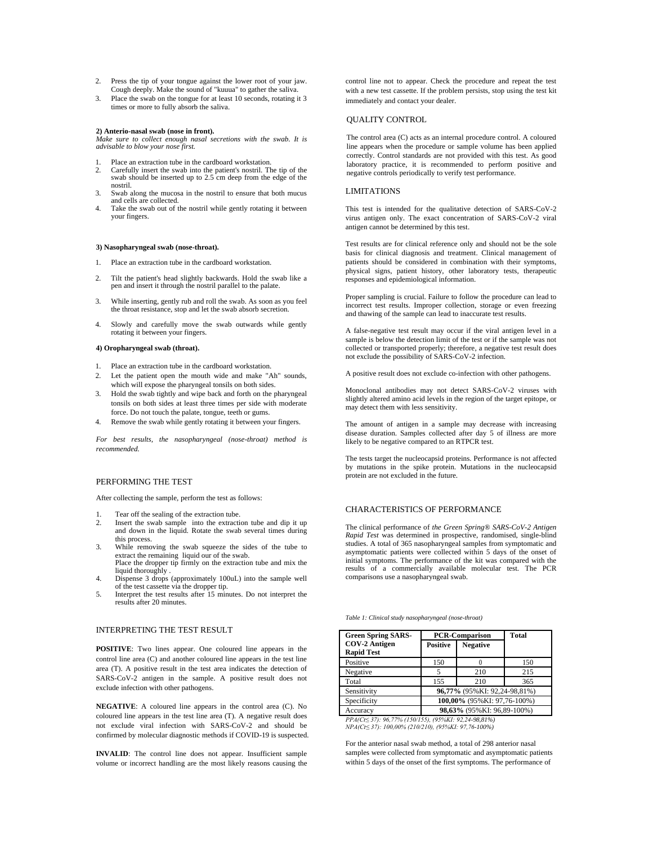- 2. Press the tip of your tongue against the lower root of your jaw. Cough deeply. Make the sound of "kuuua" to gather the saliva.
- 3. Place the swab on the tongue for at least 10 seconds, rotating it 3 times or more to fully absorb the saliva.

#### **2) Anterio-nasal swab (nose in front).**

*Make sure to collect enough nasal secretions with the swab. It is advisable to blow your nose first.*

- 1. Place an extraction tube in the cardboard workstation.
- 2. Carefully insert the swab into the patient's nostril. The tip of the swab should be inserted up to 2.5 cm deep from the edge of the nostril.
- 3. Swab along the mucosa in the nostril to ensure that both mucus and cells are collected.
- Take the swab out of the nostril while gently rotating it between your fingers.

#### **3) Nasopharyngeal swab (nose-throat).**

- 1. Place an extraction tube in the cardboard workstation.
- 2. Tilt the patient's head slightly backwards. Hold the swab like a pen and insert it through the nostril parallel to the palate.
- 3. While inserting, gently rub and roll the swab. As soon as you feel the throat resistance, stop and let the swab absorb secretion.
- 4. Slowly and carefully move the swab outwards while gently rotating it between your fingers.

#### **4) Oropharyngeal swab (throat).**

- 1. Place an extraction tube in the cardboard workstation.
- 2. Let the patient open the mouth wide and make "Ah" sounds, which will expose the pharyngeal tonsils on both sides.
- 3. Hold the swab tightly and wipe back and forth on the pharyngeal tonsils on both sides at least three times per side with moderate force. Do not touch the palate, tongue, teeth or gums.
- 4. Remove the swab while gently rotating it between your fingers.

*For best results, the nasopharyngeal (nose-throat) method is recommended.*

## PERFORMING THE TEST

After collecting the sample, perform the test as follows:

- Tear off the sealing of the extraction tube.
- 2. Insert the swab sample into the extraction tube and dip it up and down in the liquid. Rotate the swab several times during this process.
- 3. While removing the swab squeeze the sides of the tube to extract the remaining liquid our of the swab. Place the dropper tip firmly on the extraction tube and mix the
- liquid thoroughly . 4. Dispense 3 drops (approximately 100uL) into the sample well of the test cassette via the dropper tip.
- 5. Interpret the test results after 15 minutes. Do not interpret the results after 20 minutes.

### INTERPRETING THE TEST RESULT

**POSITIVE**: Two lines appear. One coloured line appears in the control line area (C) and another coloured line appears in the test line area (T). A positive result in the test area indicates the detection of SARS-CoV-2 antigen in the sample. A positive result does not exclude infection with other pathogens.

**NEGATIVE**: A coloured line appears in the control area (C). No coloured line appears in the test line area (T). A negative result does not exclude viral infection with SARS-CoV-2 and should be confirmed by molecular diagnostic methods if COVID-19 is suspected.

**INVALID**: The control line does not appear. Insufficient sample volume or incorrect handling are the most likely reasons causing the control line not to appear. Check the procedure and repeat the test with a new test cassette. If the problem persists, stop using the test kit immediately and contact your dealer.

### QUALITY CONTROL

The control area (C) acts as an internal procedure control. A coloured line appears when the procedure or sample volume has been applied correctly. Control standards are not provided with this test. As good laboratory practice, it is recommended to perform positive and negative controls periodically to verify test performance.

## LIMITATIONS

This test is intended for the qualitative detection of SARS-CoV-2 virus antigen only. The exact concentration of SARS-CoV-2 viral antigen cannot be determined by this test.

Test results are for clinical reference only and should not be the sole basis for clinical diagnosis and treatment. Clinical management of patients should be considered in combination with their symptoms, physical signs, patient history, other laboratory tests, therapeutic responses and epidemiological information.

Proper sampling is crucial. Failure to follow the procedure can lead to incorrect test results. Improper collection, storage or even freezing and thawing of the sample can lead to inaccurate test results.

A false-negative test result may occur if the viral antigen level in a sample is below the detection limit of the test or if the sample was not collected or transported properly; therefore, a negative test result does not exclude the possibility of SARS-CoV-2 infection.

A positive result does not exclude co-infection with other pathogens.

Monoclonal antibodies may not detect SARS-CoV-2 viruses with slightly altered amino acid levels in the region of the target epitope, or may detect them with less sensitivity.

The amount of antigen in a sample may decrease with increasing disease duration. Samples collected after day 5 of illness are more likely to be negative compared to an RTPCR test.

The tests target the nucleocapsid proteins. Performance is not affected by mutations in the spike protein. Mutations in the nucleocapsid protein are not excluded in the future.

## CHARACTERISTICS OF PERFORMANCE

The clinical performance of *the Green Spring® SARS-CoV-2 Antigen Rapid Test* was determined in prospective, randomised, single-blind studies. A total of 365 nasopharyngeal samples from symptomatic and asymptomatic patients were collected within 5 days of the onset of initial symptoms. The performance of the kit was compared with the results of a commercially available molecular test. The PCR comparisons use a nasopharyngeal swab.

*Table 1: Clinical study nasopharyngeal (nose-throat)*

| <b>Green Spring SARS-</b>                                                                                   | <b>PCR-Comparison</b>        | <b>Total</b>    |     |  |  |
|-------------------------------------------------------------------------------------------------------------|------------------------------|-----------------|-----|--|--|
| <b>COV-2 Antigen</b>                                                                                        | <b>Positive</b>              | <b>Negative</b> |     |  |  |
| <b>Rapid Test</b>                                                                                           |                              |                 |     |  |  |
| Positive                                                                                                    | 150                          |                 | 150 |  |  |
| Negative                                                                                                    | 5                            | 210             | 215 |  |  |
| Total                                                                                                       | 155                          | 210             | 365 |  |  |
| Sensitivity                                                                                                 | 96,77% (95%KI: 92,24-98,81%) |                 |     |  |  |
| Specificity                                                                                                 | 100,00% (95%KI: 97,76-100%)  |                 |     |  |  |
| Accuracv                                                                                                    | 98,63% (95% KI: 96,89-100%)  |                 |     |  |  |
| $DDL(ZZ \rightarrow 2Z)$ as $ZZZ$ is $LZZ$ if $LZZ$ is a contract and $2LZ$ and $2LZ$ is a contract of $LZ$ |                              |                 |     |  |  |

*PPA(Ct≤ 37): 96,77% (150/155), (95%KI: 92,24-98,81%) NPA(Ct≤ 37): 100,00% (210/210), (95%KI: 97,76-100%)*

For the anterior nasal swab method, a total of 298 anterior nasal samples were collected from symptomatic and asymptomatic patients within 5 days of the onset of the first symptoms. The performance of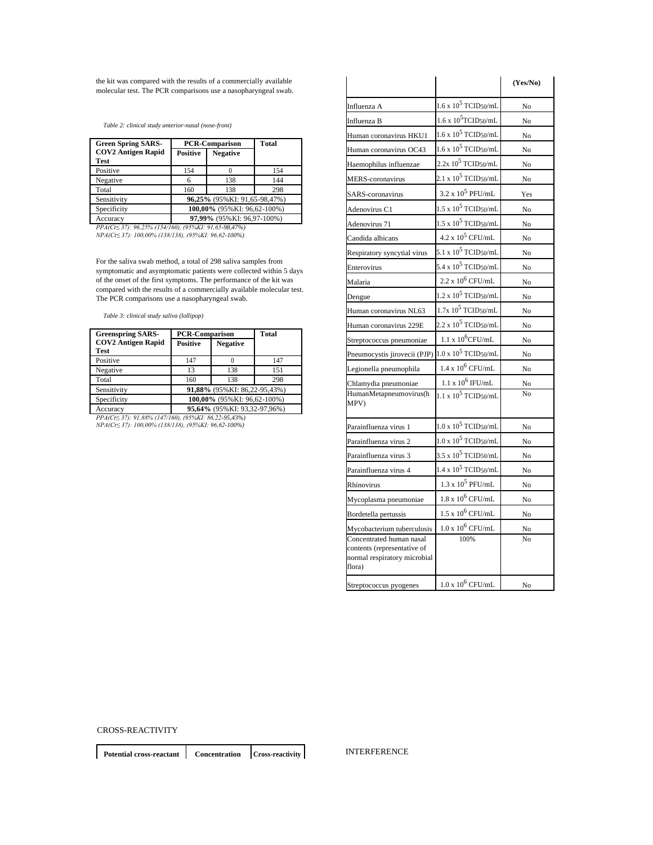the kit was compared with the results of a commercially available molecular test. The PCR comparisons use a nasopharyngeal swab.

*Table 2: clinical study anterior-nasal (nose-front)*

| <b>Green Spring SARS-</b>                             | <b>PCR-Comparison</b>         | <b>Total</b>    |     |  |  |
|-------------------------------------------------------|-------------------------------|-----------------|-----|--|--|
| <b>COV2</b> Antigen Rapid<br>Test                     | <b>Positive</b>               | <b>Negative</b> |     |  |  |
| Positive                                              | 154                           |                 | 154 |  |  |
| Negative                                              | 6                             | 138             | 144 |  |  |
| Total                                                 | 160                           | 138             | 298 |  |  |
| Sensitivity                                           | 96,25% (95% KI: 91,65-98,47%) |                 |     |  |  |
| Specificity                                           | 100,00% (95% KI: 96,62-100%)  |                 |     |  |  |
| Accuracy                                              | 97,99% (95% KI: 96,97-100%)   |                 |     |  |  |
| PPA(Ct < 37): 96,25% (154/160), (95%KI: 91,65-98,47%) |                               |                 |     |  |  |

*NPA(Ct≤ 37): 100,00% (138/138), (95%KI: 96,62-100%)*

For the saliva swab method, a total of 298 saliva samples from symptomatic and asymptomatic patients were collected within 5 days of the onset of the first symptoms. The performance of the kit was compared with the results of a commercially available molecular test. The PCR comparisons use a nasopharyngeal swab.

*Table 3: clinical study saliva (lollipop)*

| <b>Greenspring SARS-</b>          | <b>PCR-Comparison</b>         | <b>Total</b>    |     |  |  |
|-----------------------------------|-------------------------------|-----------------|-----|--|--|
| <b>COV2 Antigen Rapid</b><br>Test | <b>Positive</b>               | <b>Negative</b> |     |  |  |
| Positive                          | 147                           |                 | 147 |  |  |
| Negative                          | 13                            | 138             | 151 |  |  |
| Total                             | 160                           | 138             | 298 |  |  |
| Sensitivity                       | 91,88% (95% KI: 86,22-95,43%) |                 |     |  |  |
| Specificity                       | 100.00% (95% KI: 96.62-100%)  |                 |     |  |  |
| Accuracv                          | 95,64% (95% KI: 93,32-97,96%) |                 |     |  |  |

Accuracy **95,64%** (95%KI: 93,32-97,96%) *PPA(Ct≤ 37): 91,88% (147/160), (95%KI: 86,22-95,43%) NPA(Ct≤ 37): 100,00% (138/138), (95%KI: 96,62-100%)*

|                                                                                                                                 |                                          | (Yes/No)             |
|---------------------------------------------------------------------------------------------------------------------------------|------------------------------------------|----------------------|
| Influenza A                                                                                                                     | $1.6 \times 10^5$ TCID50/mL              | No                   |
| Influenza B                                                                                                                     | $1.6 \times 10^5$ TCID <sub>50</sub> /mL | No                   |
| Human coronavirus HKU1                                                                                                          | $1.6 \times 10^5$ TCID <sub>50</sub> /mL | No                   |
| Human coronavirus OC43                                                                                                          | $1.6 \times 10^5$ TCID50/mL              | No                   |
| Haemophilus influenzae                                                                                                          | $2.2x\ 10^5$ TCID50/mL                   | No                   |
| MERS-coronavirus                                                                                                                | $2.1 \times 10^5$ TCID <sub>50</sub> /mL | No                   |
| SARS-coronavirus                                                                                                                | $3.2 \times 10^5$ PFU/mL                 | Yes                  |
| Adenovirus C1                                                                                                                   | $1.5 \times 10^5$ TCID <sub>50</sub> /mL | No                   |
| Adenovirus 71                                                                                                                   | $1.5 \times 10^5$ TCID <sub>50</sub> /mL | No                   |
| Candida albicans                                                                                                                | $4.2 \times 10^5$ CFU/mL                 | No                   |
| Respiratory syncytial virus                                                                                                     | 5.1 x $10^5$ TCID50/mL                   | No                   |
| Enterovirus                                                                                                                     | 5.4 x $10^5$ TCID <sub>50</sub> /mL      | No                   |
| Malaria                                                                                                                         | $2.2 \times 10^6$ CFU/mL                 | No                   |
| Dengue                                                                                                                          | $1.2 \times 10^5$ TCID <sub>50</sub> /mL | No                   |
| Human coronavirus NL63                                                                                                          | $1.7x~10^5$ TCID50/mL                    | No                   |
| Human coronavirus 229E                                                                                                          | $2.2 \times 10^5$ TCID50/mL              | No                   |
| Streptococcus pneumoniae                                                                                                        | $1.1 \times 10^6$ CFU/mL                 | No                   |
| Pneumocystis jirovecii (PJP)                                                                                                    | $1.0$ x $10^5$ TCID50/mL                 | No                   |
| Legionella pneumophila                                                                                                          | $1.4 \times 10^6$ CFU/mL                 | No                   |
| Chlamydia pneumoniae                                                                                                            | $1.1$ x $10^6$ IFU/mL                    | No                   |
| HumanMetapneumovirus(h<br>MPV)                                                                                                  | $1.1 \times 10^5$ TCID50/mL              | No                   |
| Parainfluenza virus 1                                                                                                           | $1.0 \times 10^5$ TCID50/mL              | No                   |
| Parainfluenza virus 2                                                                                                           | $1.0 \times 10^5$ TCID <sub>50</sub> /mL | No                   |
| Parainfluenza virus 3                                                                                                           | $3.5 \times 10^5$ TCID50/mL              | No                   |
| Parainfluenza virus 4                                                                                                           | $1.4$ x $10^5$ TCID50/mL                 | No                   |
| Rhinovirus                                                                                                                      | $1.3 \times 10^5$ PFU/mL                 | No                   |
| Mycoplasma pneumoniae                                                                                                           | $1.8 \times 10^6$ CFU/mL                 | No                   |
| Bordetella pertussis                                                                                                            | $1.5 \times 10^6$ CFU/mL                 | No                   |
| Mycobacterium tuberculosis<br>Concentrated human nasal<br>contents (representative of<br>normal respiratory microbial<br>flora) | $1.0 \times 10^6$ CFU/mL<br>100%         | No<br>N <sub>0</sub> |
| Streptococcus pyogenes                                                                                                          | $1.0 \times 10^6$ CFU/mL                 | No                   |

CROSS-REACTIVITY

**Potential cross-reactant Concentration Cross-reactivity**